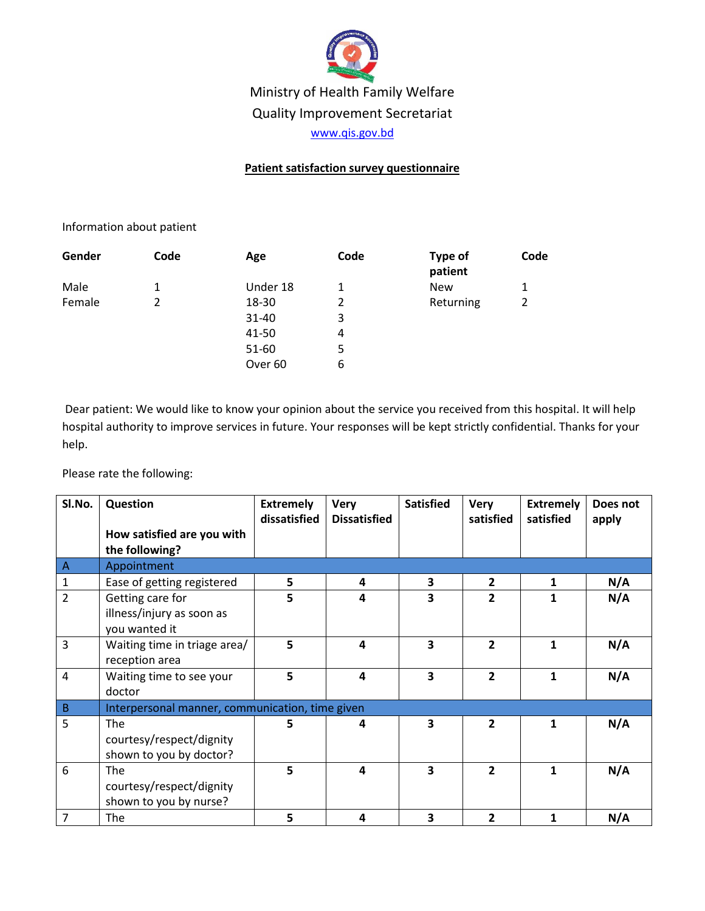

Ministry of Health Family Welfare Quality Improvement Secretariat

[www.qis.gov.bd](http://www.qis.gov.bd/)

## **Patient satisfaction survey questionnaire**

## Information about patient

| Gender | Code | Age                | Code | Type of<br>patient | Code |
|--------|------|--------------------|------|--------------------|------|
| Male   | 1    | Under 18           | 1    | <b>New</b>         | 1    |
| Female |      | 18-30              | 2    | Returning          | 2    |
|        |      | 31-40              | 3    |                    |      |
|        |      | 41-50              | 4    |                    |      |
|        |      | 51-60              | 5    |                    |      |
|        |      | Over <sub>60</sub> | 6    |                    |      |

Dear patient: We would like to know your opinion about the service you received from this hospital. It will help hospital authority to improve services in future. Your responses will be kept strictly confidential. Thanks for your help.

Please rate the following:

| SI.No.         | Question                                                         | <b>Extremely</b><br>dissatisfied | <b>Very</b><br><b>Dissatisfied</b> | <b>Satisfied</b> | <b>Very</b><br>satisfied | <b>Extremely</b><br>satisfied | Does not<br>apply |
|----------------|------------------------------------------------------------------|----------------------------------|------------------------------------|------------------|--------------------------|-------------------------------|-------------------|
|                | How satisfied are you with<br>the following?                     |                                  |                                    |                  |                          |                               |                   |
| $\overline{A}$ | Appointment                                                      |                                  |                                    |                  |                          |                               |                   |
| $\mathbf{1}$   | Ease of getting registered                                       | 5                                | 4                                  | 3                | $\overline{2}$           | 1                             | N/A               |
| $\overline{2}$ | Getting care for<br>illness/injury as soon as<br>you wanted it   | 5                                | 4                                  | 3                | $\overline{2}$           | 1                             | N/A               |
| 3              | Waiting time in triage area/<br>reception area                   | 5                                | $\overline{\mathbf{4}}$            | 3                | $\overline{2}$           | 1                             | N/A               |
| 4              | Waiting time to see your<br>doctor                               | 5                                | $\overline{a}$                     | 3                | $\overline{2}$           | 1                             | N/A               |
| B              | Interpersonal manner, communication, time given                  |                                  |                                    |                  |                          |                               |                   |
| 5              | The<br>courtesy/respect/dignity<br>shown to you by doctor?       | 5                                | 4                                  | 3                | $\overline{2}$           | $\mathbf{1}$                  | N/A               |
| 6              | <b>The</b><br>courtesy/respect/dignity<br>shown to you by nurse? | 5                                | $\overline{a}$                     | 3                | $\overline{2}$           | 1                             | N/A               |
| 7              | The                                                              | 5                                | 4                                  | 3                | $\overline{2}$           | 1                             | N/A               |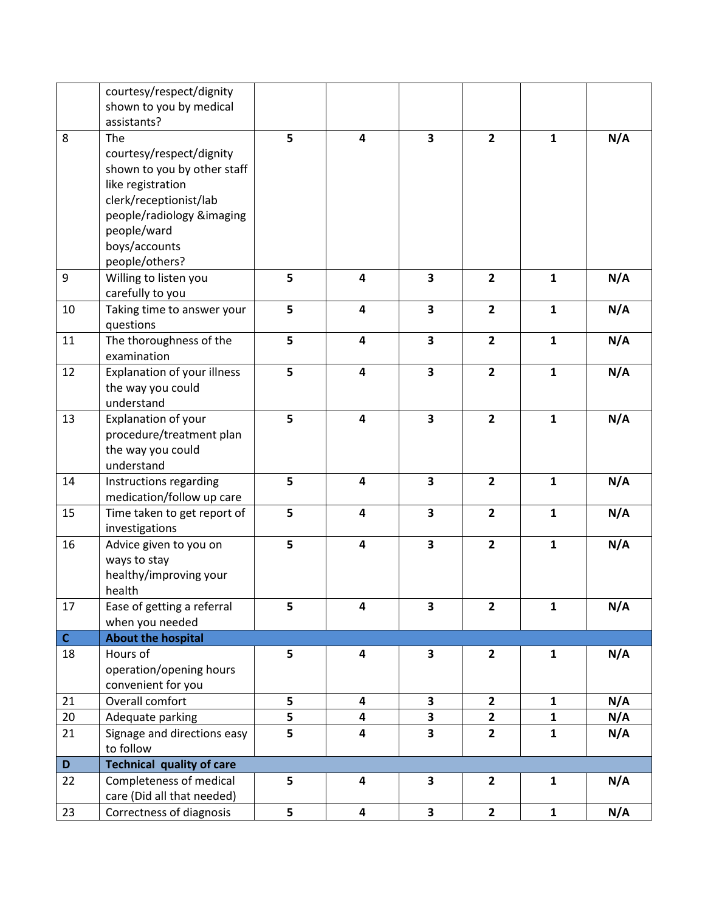|              | courtesy/respect/dignity<br>shown to you by medical   |   |                         |                         |                |              |     |
|--------------|-------------------------------------------------------|---|-------------------------|-------------------------|----------------|--------------|-----|
|              | assistants?                                           |   |                         |                         |                |              |     |
| 8            | The                                                   | 5 | 4                       | 3                       | $\overline{2}$ | $\mathbf{1}$ | N/A |
|              | courtesy/respect/dignity                              |   |                         |                         |                |              |     |
|              | shown to you by other staff                           |   |                         |                         |                |              |     |
|              | like registration                                     |   |                         |                         |                |              |     |
|              | clerk/receptionist/lab                                |   |                         |                         |                |              |     |
|              | people/radiology &imaging                             |   |                         |                         |                |              |     |
|              | people/ward                                           |   |                         |                         |                |              |     |
|              | boys/accounts                                         |   |                         |                         |                |              |     |
|              | people/others?                                        |   |                         |                         |                |              |     |
| 9            | Willing to listen you                                 | 5 | 4                       | $\overline{\mathbf{3}}$ | $\overline{2}$ | $\mathbf{1}$ | N/A |
| 10           | carefully to you                                      | 5 | 4                       | $\overline{\mathbf{3}}$ | $\overline{2}$ | $\mathbf{1}$ | N/A |
|              | Taking time to answer your<br>questions               |   |                         |                         |                |              |     |
| 11           | The thoroughness of the                               | 5 | 4                       | $\overline{\mathbf{3}}$ | $\overline{2}$ | $\mathbf{1}$ | N/A |
|              | examination                                           |   |                         |                         |                |              |     |
| 12           | Explanation of your illness                           | 5 | 4                       | $\overline{\mathbf{3}}$ | $\overline{2}$ | $\mathbf{1}$ | N/A |
|              | the way you could                                     |   |                         |                         |                |              |     |
|              | understand                                            |   |                         |                         |                |              |     |
| 13           | Explanation of your                                   | 5 | $\overline{\mathbf{4}}$ | $\overline{\mathbf{3}}$ | $\overline{2}$ | $\mathbf{1}$ | N/A |
|              | procedure/treatment plan<br>the way you could         |   |                         |                         |                |              |     |
|              | understand                                            |   |                         |                         |                |              |     |
| 14           | Instructions regarding                                | 5 | $\overline{\mathbf{4}}$ | $\overline{\mathbf{3}}$ | $\overline{2}$ | $\mathbf{1}$ | N/A |
|              | medication/follow up care                             |   |                         |                         |                |              |     |
| 15           | Time taken to get report of                           | 5 | 4                       | $\overline{\mathbf{3}}$ | $\overline{2}$ | $\mathbf{1}$ | N/A |
|              | investigations                                        |   |                         |                         |                |              |     |
| 16           | Advice given to you on                                | 5 | $\overline{\mathbf{4}}$ | 3                       | $\overline{2}$ | $\mathbf{1}$ | N/A |
|              | ways to stay                                          |   |                         |                         |                |              |     |
|              | healthy/improving your                                |   |                         |                         |                |              |     |
|              | health                                                |   |                         |                         |                |              |     |
| 17           | Ease of getting a referral                            | 5 | 4                       | 3                       | $\overline{2}$ | $\mathbf{1}$ | N/A |
| $\mathsf{C}$ | when you needed<br><b>About the hospital</b>          |   |                         |                         |                |              |     |
| 18           | Hours of                                              | 5 | $\overline{\mathbf{4}}$ | 3                       | $\overline{2}$ | $\mathbf{1}$ | N/A |
|              | operation/opening hours                               |   |                         |                         |                |              |     |
|              | convenient for you                                    |   |                         |                         |                |              |     |
| 21           | Overall comfort                                       | 5 | 4                       | 3                       | $\overline{2}$ | $\mathbf{1}$ | N/A |
| 20           | Adequate parking                                      | 5 | 4                       | 3                       | $\overline{2}$ | $\mathbf{1}$ | N/A |
| 21           | Signage and directions easy                           | 5 | 4                       | $\overline{\mathbf{3}}$ | $\overline{2}$ | $\mathbf{1}$ | N/A |
|              | to follow                                             |   |                         |                         |                |              |     |
| $\mathbf D$  | <b>Technical quality of care</b>                      |   |                         |                         |                |              |     |
| 22           | Completeness of medical<br>care (Did all that needed) | 5 | 4                       | 3                       | $\overline{2}$ | $\mathbf{1}$ | N/A |
| 23           | Correctness of diagnosis                              | 5 | 4                       | $\overline{\mathbf{3}}$ | $\overline{2}$ | $\mathbf{1}$ | N/A |